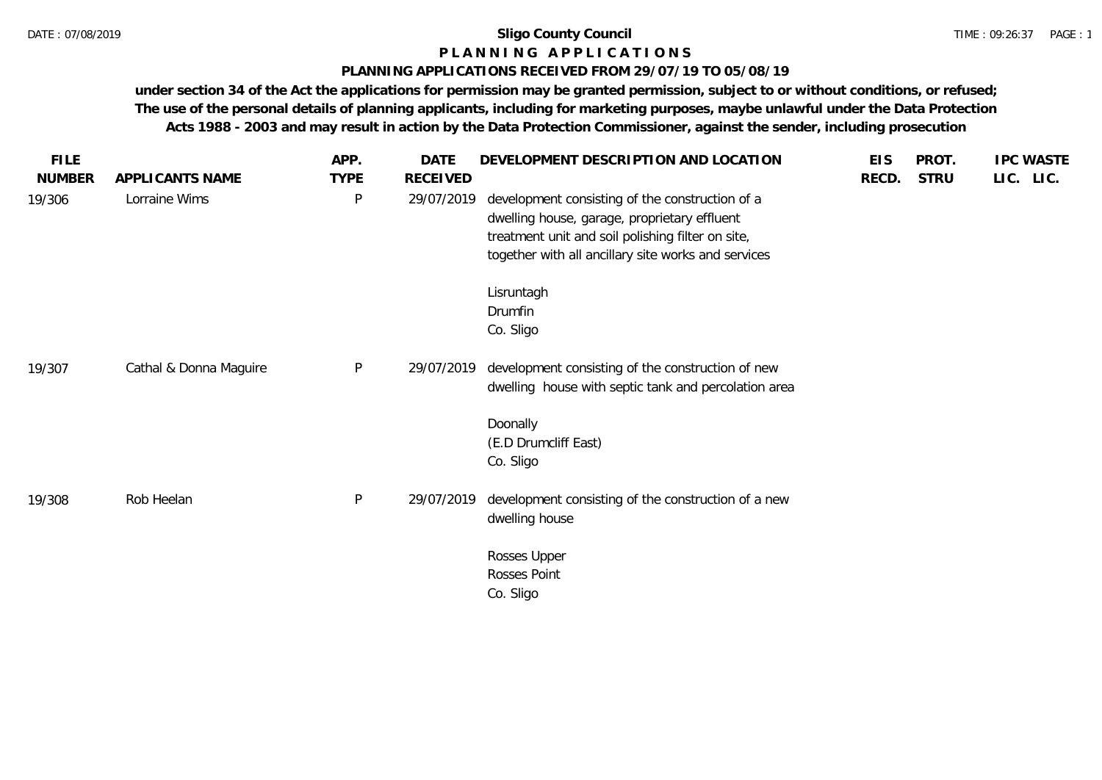### **P L A N N I N G A P P L I C A T I O N S**

### **PLANNING APPLICATIONS RECEIVED FROM 29/07/19 TO 05/08/19**

| <b>FILE</b>   |                        | APP.         | DATE            | DEVELOPMENT DESCRIPTION AND LOCATION                                                                                                                                                                        | <b>EIS</b> | PROT.       | <b>IPC WASTE</b> |
|---------------|------------------------|--------------|-----------------|-------------------------------------------------------------------------------------------------------------------------------------------------------------------------------------------------------------|------------|-------------|------------------|
| <b>NUMBER</b> | APPLICANTS NAME        | <b>TYPE</b>  | <b>RECEIVED</b> |                                                                                                                                                                                                             | RECD.      | <b>STRU</b> | LIC. LIC.        |
| 19/306        | Lorraine Wims          | $\sf P$      | 29/07/2019      | development consisting of the construction of a<br>dwelling house, garage, proprietary effluent<br>treatment unit and soil polishing filter on site,<br>together with all ancillary site works and services |            |             |                  |
|               |                        |              |                 | Lisruntagh<br>Drumfin<br>Co. Sligo                                                                                                                                                                          |            |             |                  |
| 19/307        | Cathal & Donna Maguire | $\sf P$      | 29/07/2019      | development consisting of the construction of new<br>dwelling house with septic tank and percolation area                                                                                                   |            |             |                  |
|               |                        |              |                 | Doonally<br>(E.D Drumcliff East)<br>Co. Sligo                                                                                                                                                               |            |             |                  |
| 19/308        | Rob Heelan             | $\mathsf{P}$ | 29/07/2019      | development consisting of the construction of a new<br>dwelling house                                                                                                                                       |            |             |                  |
|               |                        |              |                 | Rosses Upper<br>Rosses Point<br>Co. Sligo                                                                                                                                                                   |            |             |                  |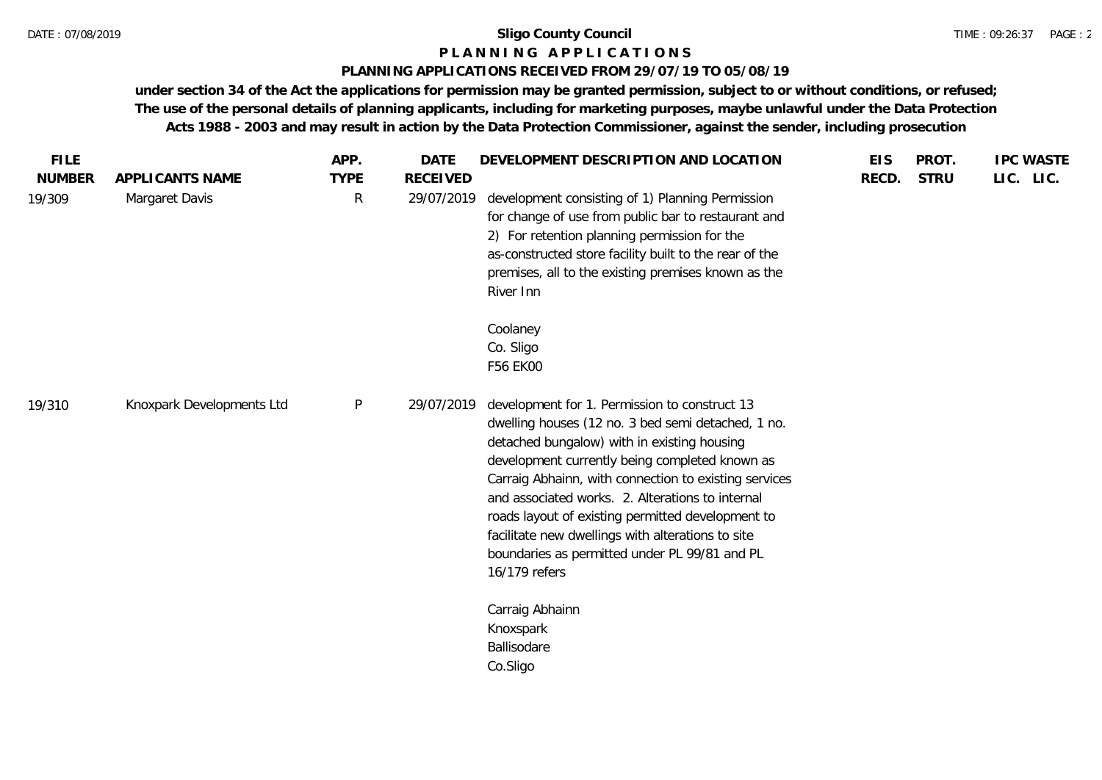### **P L A N N I N G A P P L I C A T I O N S**

### **PLANNING APPLICATIONS RECEIVED FROM 29/07/19 TO 05/08/19**

| <b>NUMBER</b><br><b>STRU</b><br>APPLICANTS NAME<br><b>TYPE</b><br><b>RECEIVED</b><br>RECD.<br>development consisting of 1) Planning Permission<br>Margaret Davis<br>R<br>29/07/2019<br>19/309<br>for change of use from public bar to restaurant and<br>2) For retention planning permission for the<br>as-constructed store facility built to the rear of the<br>premises, all to the existing premises known as the                                                                                                                                              | LIC. LIC. |
|--------------------------------------------------------------------------------------------------------------------------------------------------------------------------------------------------------------------------------------------------------------------------------------------------------------------------------------------------------------------------------------------------------------------------------------------------------------------------------------------------------------------------------------------------------------------|-----------|
| River Inn                                                                                                                                                                                                                                                                                                                                                                                                                                                                                                                                                          |           |
| Coolaney<br>Co. Sligo<br>F56 EK00                                                                                                                                                                                                                                                                                                                                                                                                                                                                                                                                  |           |
| Knoxpark Developments Ltd<br>$\mathsf{P}$<br>development for 1. Permission to construct 13<br>29/07/2019<br>19/310<br>dwelling houses (12 no. 3 bed semi detached, 1 no.<br>detached bungalow) with in existing housing<br>development currently being completed known as<br>Carraig Abhainn, with connection to existing services<br>and associated works. 2. Alterations to internal<br>roads layout of existing permitted development to<br>facilitate new dwellings with alterations to site<br>boundaries as permitted under PL 99/81 and PL<br>16/179 refers |           |
| Carraig Abhainn<br>Knoxspark<br>Ballisodare<br>Co.Sligo                                                                                                                                                                                                                                                                                                                                                                                                                                                                                                            |           |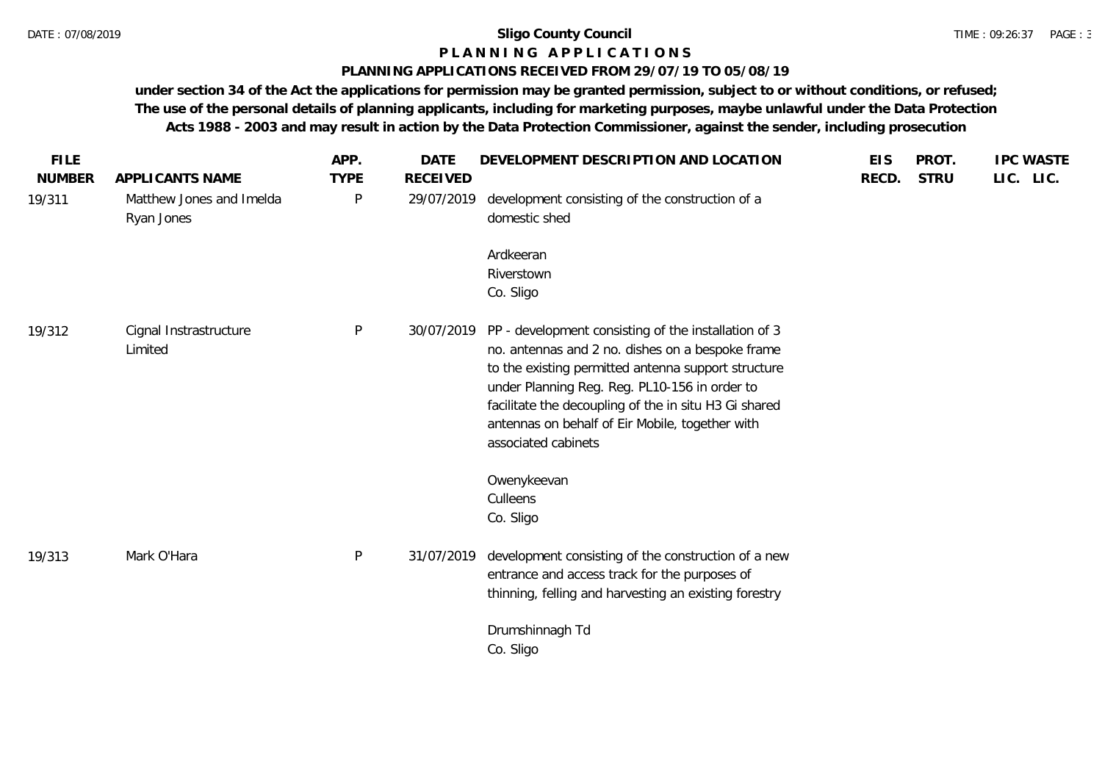### **P L A N N I N G A P P L I C A T I O N S**

### **PLANNING APPLICATIONS RECEIVED FROM 29/07/19 TO 05/08/19**

| <b>FILE</b><br><b>NUMBER</b> | APPLICANTS NAME                        | APP.<br><b>TYPE</b> | <b>DATE</b><br><b>RECEIVED</b> | DEVELOPMENT DESCRIPTION AND LOCATION                                                                                                                                                                                                                                                                                                                | <b>EIS</b><br>RECD. | PROT.<br><b>STRU</b> | <b>IPC WASTE</b><br>LIC. LIC. |
|------------------------------|----------------------------------------|---------------------|--------------------------------|-----------------------------------------------------------------------------------------------------------------------------------------------------------------------------------------------------------------------------------------------------------------------------------------------------------------------------------------------------|---------------------|----------------------|-------------------------------|
| 19/311                       | Matthew Jones and Imelda<br>Ryan Jones | P                   | 29/07/2019                     | development consisting of the construction of a<br>domestic shed                                                                                                                                                                                                                                                                                    |                     |                      |                               |
|                              |                                        |                     |                                | Ardkeeran<br>Riverstown<br>Co. Sligo                                                                                                                                                                                                                                                                                                                |                     |                      |                               |
| 19/312                       | Cignal Instrastructure<br>Limited      | P                   | 30/07/2019                     | PP - development consisting of the installation of 3<br>no. antennas and 2 no. dishes on a bespoke frame<br>to the existing permitted antenna support structure<br>under Planning Reg. Reg. PL10-156 in order to<br>facilitate the decoupling of the in situ H3 Gi shared<br>antennas on behalf of Eir Mobile, together with<br>associated cabinets |                     |                      |                               |
|                              |                                        |                     |                                | Owenykeevan<br>Culleens<br>Co. Sligo                                                                                                                                                                                                                                                                                                                |                     |                      |                               |
| 19/313                       | Mark O'Hara                            | P                   | 31/07/2019                     | development consisting of the construction of a new<br>entrance and access track for the purposes of<br>thinning, felling and harvesting an existing forestry                                                                                                                                                                                       |                     |                      |                               |
|                              |                                        |                     |                                | Drumshinnagh Td<br>Co. Sligo                                                                                                                                                                                                                                                                                                                        |                     |                      |                               |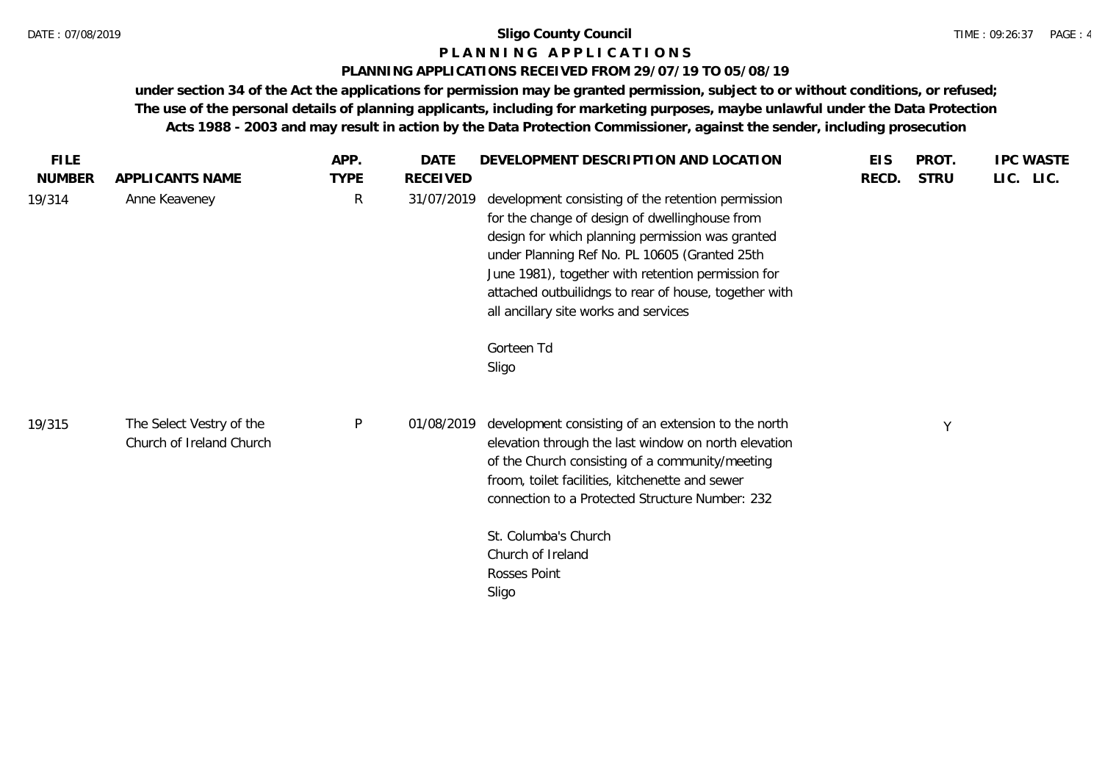### **P L A N N I N G A P P L I C A T I O N S**

### **PLANNING APPLICATIONS RECEIVED FROM 29/07/19 TO 05/08/19**

| <b>FILE</b>             |                                                      | APP.             | <b>DATE</b>            | DEVELOPMENT DESCRIPTION AND LOCATION                                                                                                                                                                                                                                                                                                 | <b>EIS</b> | PROT.       | <b>IPC WASTE</b> |
|-------------------------|------------------------------------------------------|------------------|------------------------|--------------------------------------------------------------------------------------------------------------------------------------------------------------------------------------------------------------------------------------------------------------------------------------------------------------------------------------|------------|-------------|------------------|
| <b>NUMBER</b><br>19/314 | APPLICANTS NAME<br>Anne Keaveney                     | <b>TYPE</b><br>R | RECEIVED<br>31/07/2019 | development consisting of the retention permission<br>for the change of design of dwellinghouse from<br>design for which planning permission was granted<br>under Planning Ref No. PL 10605 (Granted 25th<br>June 1981), together with retention permission for<br>attached outbuilidngs to rear of house, together with             | RECD.      | <b>STRU</b> | LIC. LIC.        |
| 19/315                  | The Select Vestry of the<br>Church of Ireland Church | $\mathsf{P}$     | 01/08/2019             | all ancillary site works and services<br>Gorteen Td<br>Sligo<br>development consisting of an extension to the north<br>elevation through the last window on north elevation<br>of the Church consisting of a community/meeting<br>froom, toilet facilities, kitchenette and sewer<br>connection to a Protected Structure Number: 232 |            | Y           |                  |
|                         |                                                      |                  |                        | St. Columba's Church<br>Church of Ireland<br>Rosses Point<br>Sligo                                                                                                                                                                                                                                                                   |            |             |                  |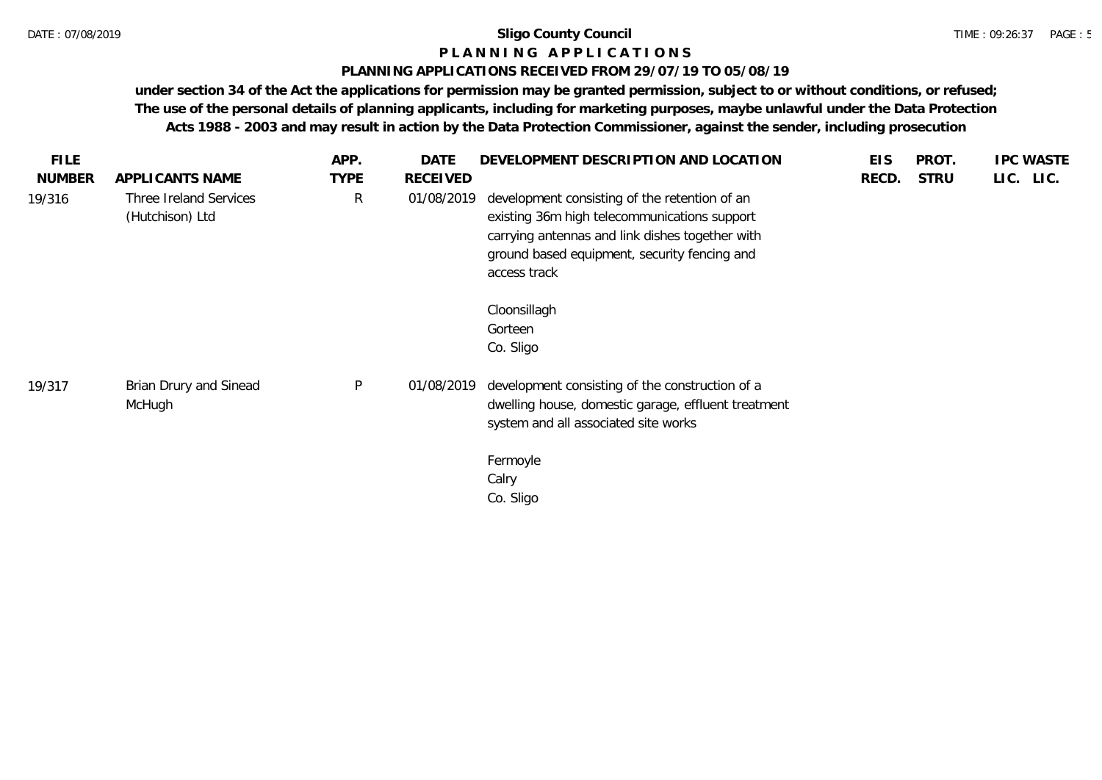### **P L A N N I N G A P P L I C A T I O N S**

### **PLANNING APPLICATIONS RECEIVED FROM 29/07/19 TO 05/08/19**

| <b>FILE</b>   |                                           | APP.        | DATE       | DEVELOPMENT DESCRIPTION AND LOCATION                                                                                                                                                                             | <b>EIS</b> | PROT.       | <b>IPC WASTE</b> |
|---------------|-------------------------------------------|-------------|------------|------------------------------------------------------------------------------------------------------------------------------------------------------------------------------------------------------------------|------------|-------------|------------------|
| <b>NUMBER</b> | APPLICANTS NAME                           | <b>TYPE</b> | RECEIVED   |                                                                                                                                                                                                                  | RECD.      | <b>STRU</b> | LIC. LIC.        |
| 19/316        | Three Ireland Services<br>(Hutchison) Ltd | R           | 01/08/2019 | development consisting of the retention of an<br>existing 36m high telecommunications support<br>carrying antennas and link dishes together with<br>ground based equipment, security fencing and<br>access track |            |             |                  |
|               |                                           |             |            | Cloonsillagh<br>Gorteen<br>Co. Sligo                                                                                                                                                                             |            |             |                  |
| 19/317        | Brian Drury and Sinead<br>McHugh          | P           | 01/08/2019 | development consisting of the construction of a<br>dwelling house, domestic garage, effluent treatment<br>system and all associated site works<br>Fermoyle<br>Calry<br>Co. Sligo                                 |            |             |                  |
|               |                                           |             |            |                                                                                                                                                                                                                  |            |             |                  |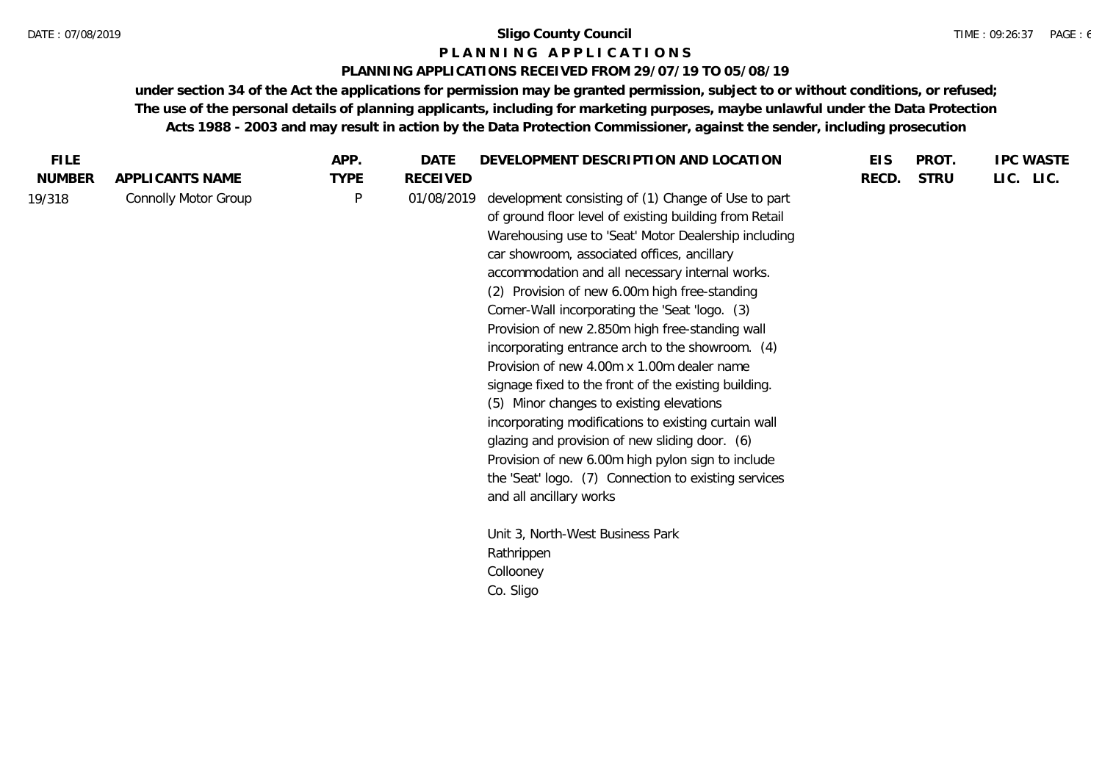### **P L A N N I N G A P P L I C A T I O N S**

### **PLANNING APPLICATIONS RECEIVED FROM 29/07/19 TO 05/08/19**

| <b>FILE</b>   |                      | APP.         | DATE       | DEVELOPMENT DESCRIPTION AND LOCATION                                                                                                                                                                                                                                                                                                                                                                                                                                                                                                                                                                                                                                                                                                                                                                                                                                                  | <b>EIS</b> | PROT.       | <b>IPC WASTE</b> |
|---------------|----------------------|--------------|------------|---------------------------------------------------------------------------------------------------------------------------------------------------------------------------------------------------------------------------------------------------------------------------------------------------------------------------------------------------------------------------------------------------------------------------------------------------------------------------------------------------------------------------------------------------------------------------------------------------------------------------------------------------------------------------------------------------------------------------------------------------------------------------------------------------------------------------------------------------------------------------------------|------------|-------------|------------------|
| <b>NUMBER</b> | APPLICANTS NAME      | <b>TYPE</b>  | RECEIVED   |                                                                                                                                                                                                                                                                                                                                                                                                                                                                                                                                                                                                                                                                                                                                                                                                                                                                                       | RECD.      | <b>STRU</b> | LIC. LIC.        |
| 19/318        | Connolly Motor Group | $\mathsf{P}$ | 01/08/2019 | development consisting of (1) Change of Use to part<br>of ground floor level of existing building from Retail<br>Warehousing use to 'Seat' Motor Dealership including<br>car showroom, associated offices, ancillary<br>accommodation and all necessary internal works.<br>(2) Provision of new 6.00m high free-standing<br>Corner-Wall incorporating the 'Seat 'logo. (3)<br>Provision of new 2.850m high free-standing wall<br>incorporating entrance arch to the showroom. (4)<br>Provision of new 4.00m x 1.00m dealer name<br>signage fixed to the front of the existing building.<br>(5) Minor changes to existing elevations<br>incorporating modifications to existing curtain wall<br>glazing and provision of new sliding door. (6)<br>Provision of new 6.00m high pylon sign to include<br>the 'Seat' logo. (7) Connection to existing services<br>and all ancillary works |            |             |                  |
|               |                      |              |            | Unit 3, North-West Business Park<br>Rathrippen                                                                                                                                                                                                                                                                                                                                                                                                                                                                                                                                                                                                                                                                                                                                                                                                                                        |            |             |                  |
|               |                      |              |            | Collooney                                                                                                                                                                                                                                                                                                                                                                                                                                                                                                                                                                                                                                                                                                                                                                                                                                                                             |            |             |                  |
|               |                      |              |            | Co. Sligo                                                                                                                                                                                                                                                                                                                                                                                                                                                                                                                                                                                                                                                                                                                                                                                                                                                                             |            |             |                  |
|               |                      |              |            |                                                                                                                                                                                                                                                                                                                                                                                                                                                                                                                                                                                                                                                                                                                                                                                                                                                                                       |            |             |                  |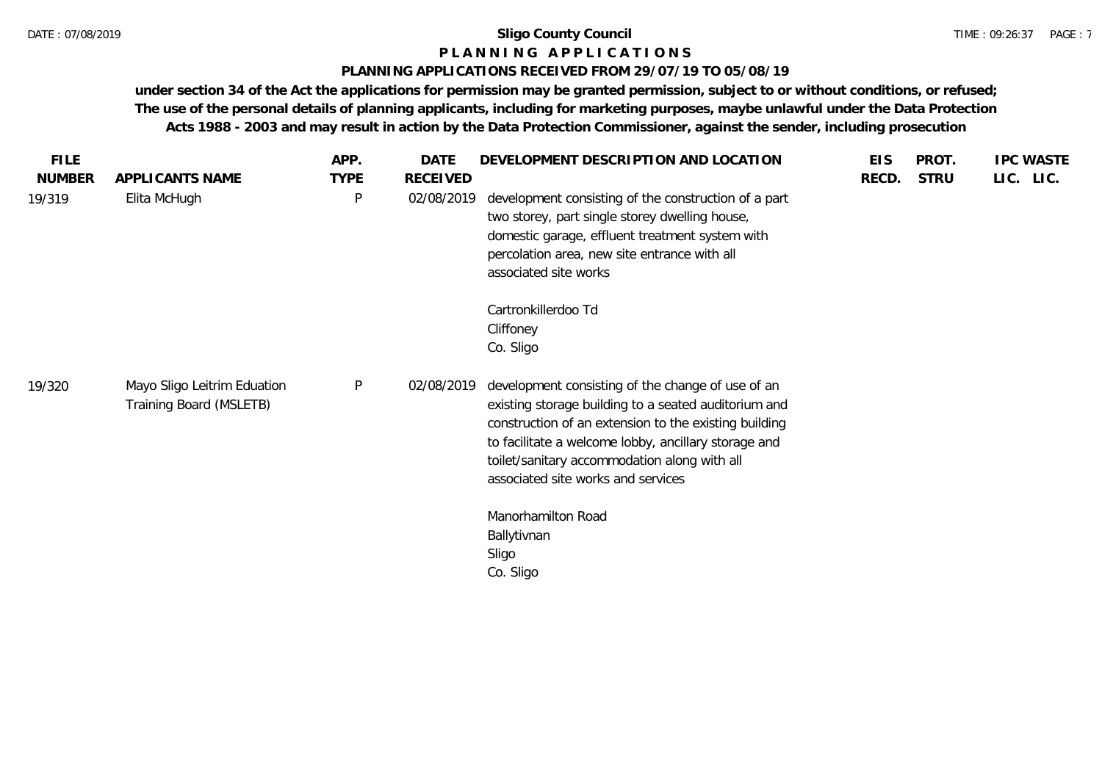#### TIME : 09:26:37 PAGE : 7

# **P L A N N I N G A P P L I C A T I O N S**

### **PLANNING APPLICATIONS RECEIVED FROM 29/07/19 TO 05/08/19**

| <b>FILE</b>   |                                                        | APP.        | DATE       | DEVELOPMENT DESCRIPTION AND LOCATION                                                                                                                                                                                                                                                                             | <b>EIS</b> | PROT.       | <b>IPC WASTE</b> |
|---------------|--------------------------------------------------------|-------------|------------|------------------------------------------------------------------------------------------------------------------------------------------------------------------------------------------------------------------------------------------------------------------------------------------------------------------|------------|-------------|------------------|
| <b>NUMBER</b> | APPLICANTS NAME                                        | <b>TYPE</b> | RECEIVED   |                                                                                                                                                                                                                                                                                                                  | RECD.      | <b>STRU</b> | LIC. LIC.        |
| 19/319        | Elita McHugh                                           | P           | 02/08/2019 | development consisting of the construction of a part<br>two storey, part single storey dwelling house,<br>domestic garage, effluent treatment system with<br>percolation area, new site entrance with all<br>associated site works                                                                               |            |             |                  |
|               |                                                        |             |            | Cartronkillerdoo Td<br>Cliffoney<br>Co. Sligo                                                                                                                                                                                                                                                                    |            |             |                  |
| 19/320        | Mayo Sligo Leitrim Eduation<br>Training Board (MSLETB) | P           | 02/08/2019 | development consisting of the change of use of an<br>existing storage building to a seated auditorium and<br>construction of an extension to the existing building<br>to facilitate a welcome lobby, ancillary storage and<br>toilet/sanitary accommodation along with all<br>associated site works and services |            |             |                  |
|               |                                                        |             |            | Manorhamilton Road<br>Ballytivnan<br>Sligo<br>Co. Sligo                                                                                                                                                                                                                                                          |            |             |                  |
|               |                                                        |             |            |                                                                                                                                                                                                                                                                                                                  |            |             |                  |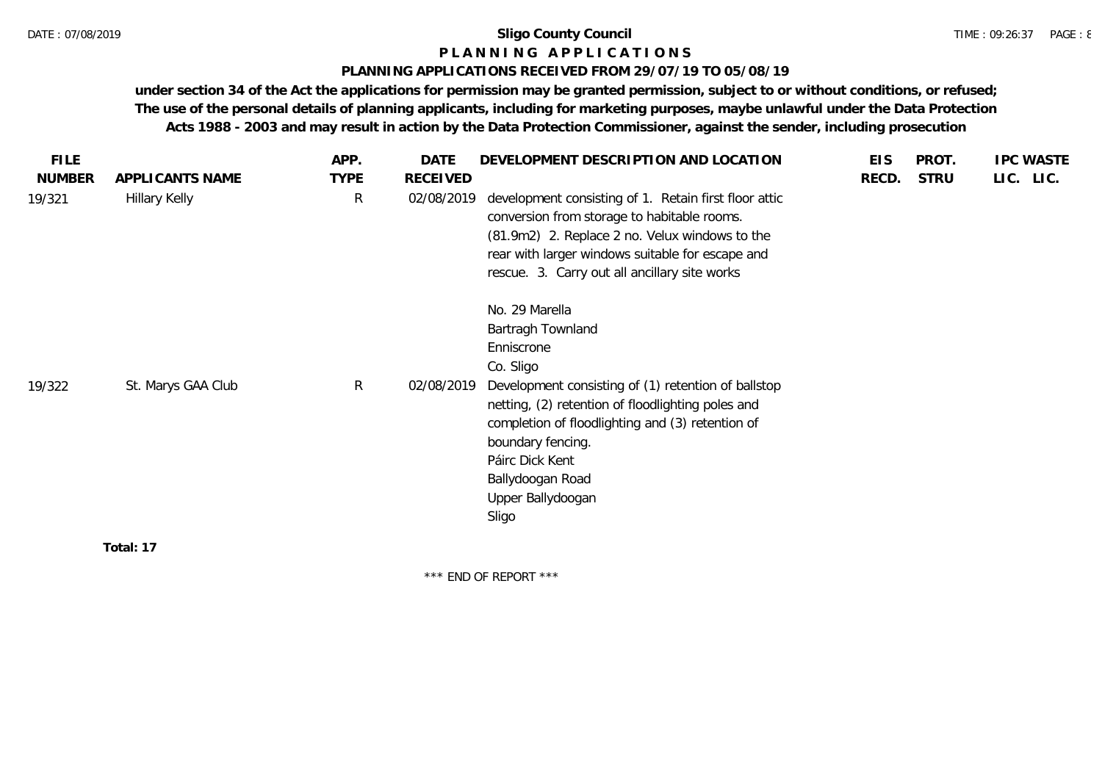### **P L A N N I N G A P P L I C A T I O N S**

### **PLANNING APPLICATIONS RECEIVED FROM 29/07/19 TO 05/08/19**

**under section 34 of the Act the applications for permission may be granted permission, subject to or without conditions, or refused; The use of the personal details of planning applicants, including for marketing purposes, maybe unlawful under the Data Protection Acts 1988 - 2003 and may result in action by the Data Protection Commissioner, against the sender, including prosecution**

| <b>FILE</b>   |                    | APP.         | DATE            | DEVELOPMENT DESCRIPTION AND LOCATION                                                                                                                                                                                                                                                                                     | <b>EIS</b> | PROT.       | <b>IPC WASTE</b> |
|---------------|--------------------|--------------|-----------------|--------------------------------------------------------------------------------------------------------------------------------------------------------------------------------------------------------------------------------------------------------------------------------------------------------------------------|------------|-------------|------------------|
| <b>NUMBER</b> | APPLICANTS NAME    | <b>TYPE</b>  | <b>RECEIVED</b> |                                                                                                                                                                                                                                                                                                                          | RECD.      | <b>STRU</b> | LIC. LIC.        |
| 19/321        | Hillary Kelly      | $\mathsf{R}$ | 02/08/2019      | development consisting of 1. Retain first floor attic<br>conversion from storage to habitable rooms.<br>(81.9m2) 2. Replace 2 no. Velux windows to the<br>rear with larger windows suitable for escape and<br>rescue. 3. Carry out all ancillary site works                                                              |            |             |                  |
| 19/322        | St. Marys GAA Club | R            | 02/08/2019      | No. 29 Marella<br>Bartragh Townland<br>Enniscrone<br>Co. Sligo<br>Development consisting of (1) retention of ballstop<br>netting, (2) retention of floodlighting poles and<br>completion of floodlighting and (3) retention of<br>boundary fencing.<br>Páirc Dick Kent<br>Ballydoogan Road<br>Upper Ballydoogan<br>Sligo |            |             |                  |
|               | Total: 17          |              |                 |                                                                                                                                                                                                                                                                                                                          |            |             |                  |

\*\*\* END OF REPORT \*\*\*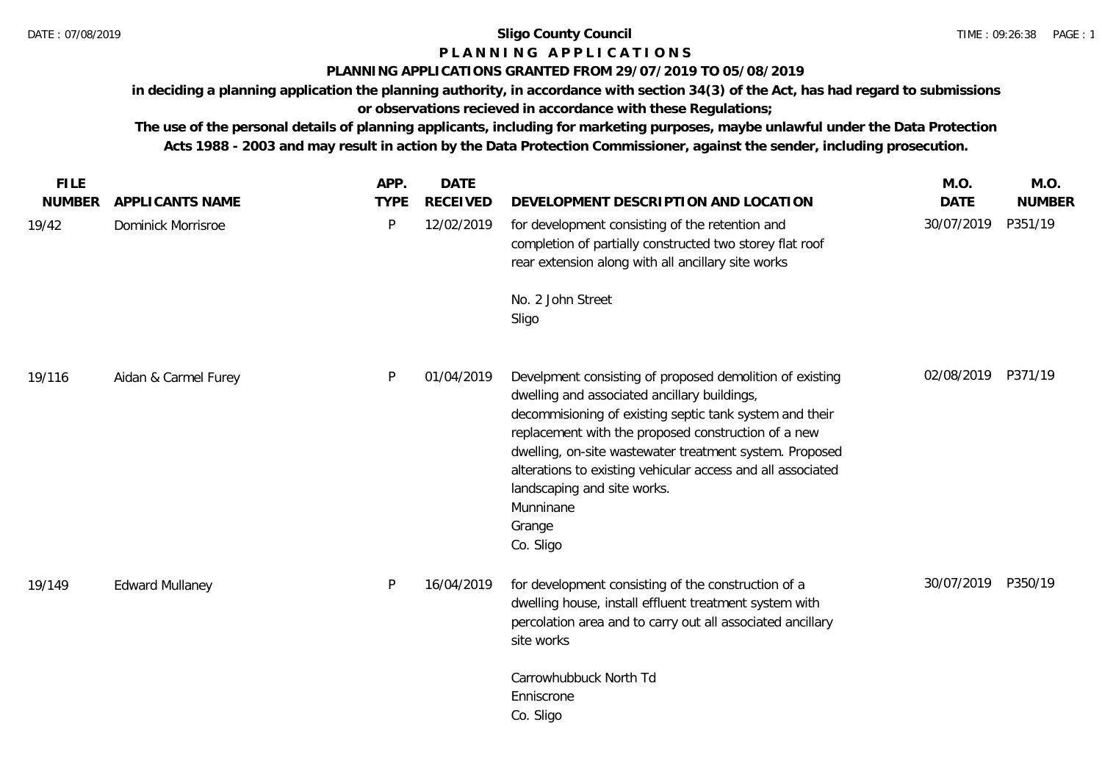# **P L A N N I N G A P P L I C A T I O N S**

# **PLANNING APPLICATIONS GRANTED FROM 29/07/2019 TO 05/08/2019**

**in deciding a planning application the planning authority, in accordance with section 34(3) of the Act, has had regard to submissions or observations recieved in accordance with these Regulations;**

| <b>FILE</b>   |                           | APP.        | <b>DATE</b>     |                                                                                                                                                                                                                                                                                                                                                                                                                         | M.O.        | M.O.          |
|---------------|---------------------------|-------------|-----------------|-------------------------------------------------------------------------------------------------------------------------------------------------------------------------------------------------------------------------------------------------------------------------------------------------------------------------------------------------------------------------------------------------------------------------|-------------|---------------|
| <b>NUMBER</b> | APPLICANTS NAME           | <b>TYPE</b> | <b>RECEIVED</b> | DEVELOPMENT DESCRIPTION AND LOCATION                                                                                                                                                                                                                                                                                                                                                                                    | <b>DATE</b> | <b>NUMBER</b> |
| 19/42         | <b>Dominick Morrisroe</b> | P           | 12/02/2019      | for development consisting of the retention and<br>completion of partially constructed two storey flat roof<br>rear extension along with all ancillary site works                                                                                                                                                                                                                                                       | 30/07/2019  | P351/19       |
|               |                           |             |                 | No. 2 John Street<br>Sligo                                                                                                                                                                                                                                                                                                                                                                                              |             |               |
| 19/116        | Aidan & Carmel Furey      | P           | 01/04/2019      | Develpment consisting of proposed demolition of existing<br>dwelling and associated ancillary buildings,<br>decommisioning of existing septic tank system and their<br>replacement with the proposed construction of a new<br>dwelling, on-site wastewater treatment system. Proposed<br>alterations to existing vehicular access and all associated<br>landscaping and site works.<br>Munninane<br>Grange<br>Co. Sligo | 02/08/2019  | P371/19       |
| 19/149        | <b>Edward Mullaney</b>    | P           | 16/04/2019      | for development consisting of the construction of a<br>dwelling house, install effluent treatment system with<br>percolation area and to carry out all associated ancillary<br>site works                                                                                                                                                                                                                               | 30/07/2019  | P350/19       |
|               |                           |             |                 | Carrowhubbuck North Td<br>Enniscrone<br>Co. Sligo                                                                                                                                                                                                                                                                                                                                                                       |             |               |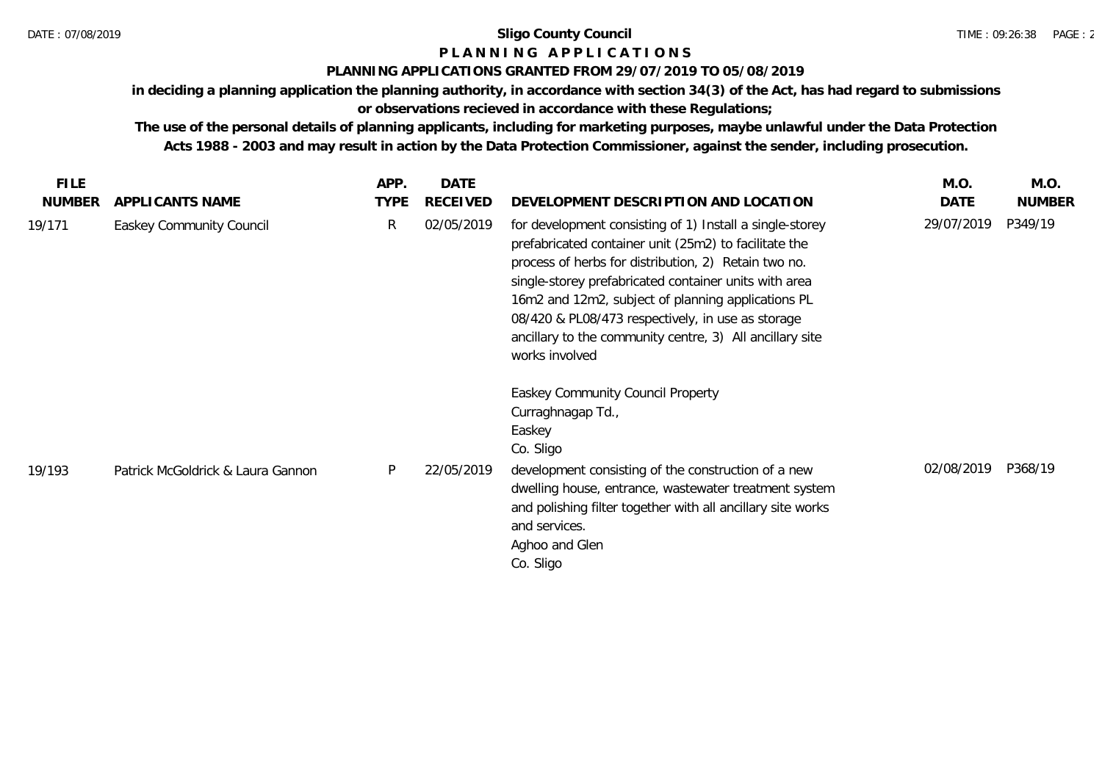# **P L A N N I N G A P P L I C A T I O N S**

### **PLANNING APPLICATIONS GRANTED FROM 29/07/2019 TO 05/08/2019**

**in deciding a planning application the planning authority, in accordance with section 34(3) of the Act, has had regard to submissions** 

# **or observations recieved in accordance with these Regulations;**

| <b>FILE</b>   |                                   | APP.        | <b>DATE</b>     |                                                                                                                                                                                                                                                                                                                                                                                                                             | M.O.       | M.O.          |
|---------------|-----------------------------------|-------------|-----------------|-----------------------------------------------------------------------------------------------------------------------------------------------------------------------------------------------------------------------------------------------------------------------------------------------------------------------------------------------------------------------------------------------------------------------------|------------|---------------|
| <b>NUMBER</b> | APPLICANTS NAME                   | <b>TYPE</b> | <b>RECEIVED</b> | DEVELOPMENT DESCRIPTION AND LOCATION                                                                                                                                                                                                                                                                                                                                                                                        | DATE       | <b>NUMBER</b> |
| 19/171        | Easkey Community Council          | R           | 02/05/2019      | for development consisting of 1) Install a single-storey<br>prefabricated container unit (25m2) to facilitate the<br>process of herbs for distribution, 2) Retain two no.<br>single-storey prefabricated container units with area<br>16m2 and 12m2, subject of planning applications PL<br>08/420 & PL08/473 respectively, in use as storage<br>ancillary to the community centre, 3) All ancillary site<br>works involved | 29/07/2019 | P349/19       |
| 19/193        | Patrick McGoldrick & Laura Gannon | P           | 22/05/2019      | Easkey Community Council Property<br>Curraghnagap Td.,<br>Easkey<br>Co. Sligo<br>development consisting of the construction of a new<br>dwelling house, entrance, wastewater treatment system<br>and polishing filter together with all ancillary site works                                                                                                                                                                | 02/08/2019 | P368/19       |
|               |                                   |             |                 | and services.<br>Aghoo and Glen<br>Co. Sligo                                                                                                                                                                                                                                                                                                                                                                                |            |               |
|               |                                   |             |                 |                                                                                                                                                                                                                                                                                                                                                                                                                             |            |               |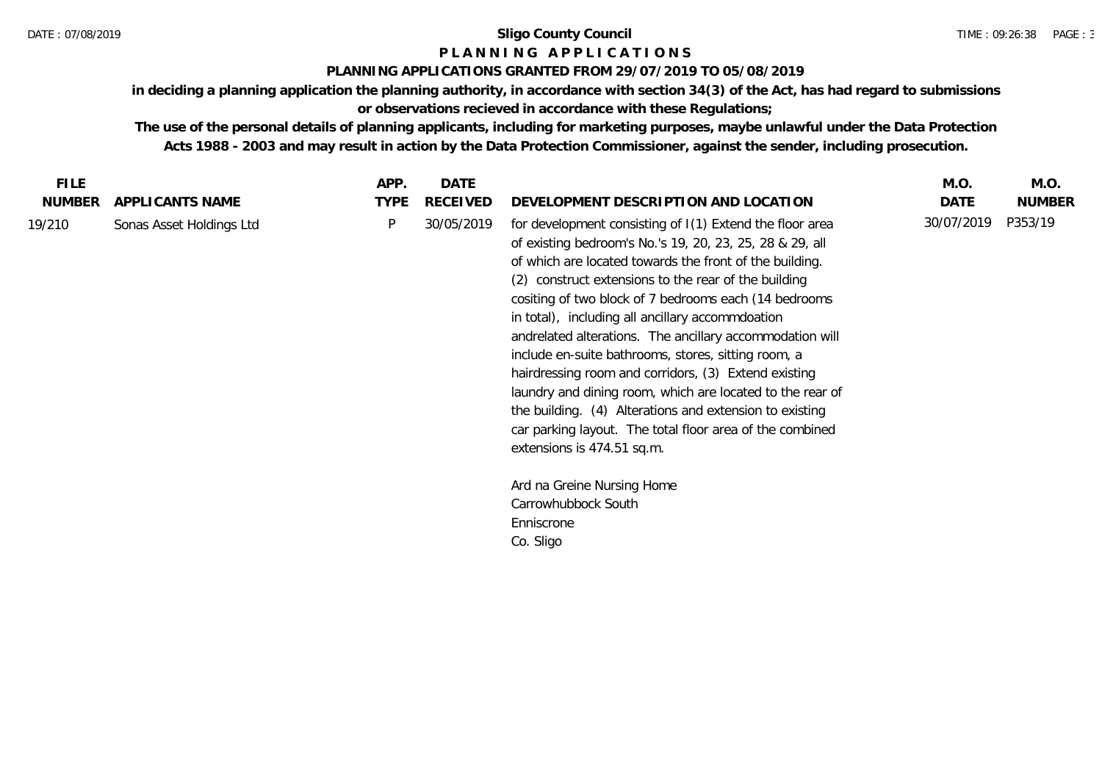# **P L A N N I N G A P P L I C A T I O N S**

### **PLANNING APPLICATIONS GRANTED FROM 29/07/2019 TO 05/08/2019**

**in deciding a planning application the planning authority, in accordance with section 34(3) of the Act, has had regard to submissions or observations recieved in accordance with these Regulations;**

**The use of the personal details of planning applicants, including for marketing purposes, maybe unlawful under the Data Protection** 

**Acts 1988 - 2003 and may result in action by the Data Protection Commissioner, against the sender, including prosecution.**

| <b>FILE</b>   |                          | APP.        | <b>DATE</b>     |                                                                                                                                                                                                                                                                                                                                                                                                                                                                                                                                                                                                                                                                                                                                                                                                                                   | M.O.       | M.O.          |
|---------------|--------------------------|-------------|-----------------|-----------------------------------------------------------------------------------------------------------------------------------------------------------------------------------------------------------------------------------------------------------------------------------------------------------------------------------------------------------------------------------------------------------------------------------------------------------------------------------------------------------------------------------------------------------------------------------------------------------------------------------------------------------------------------------------------------------------------------------------------------------------------------------------------------------------------------------|------------|---------------|
| <b>NUMBER</b> | APPLICANTS NAME          | <b>TYPE</b> | <b>RECEIVED</b> | DEVELOPMENT DESCRIPTION AND LOCATION                                                                                                                                                                                                                                                                                                                                                                                                                                                                                                                                                                                                                                                                                                                                                                                              | DATE       | <b>NUMBER</b> |
| 19/210        | Sonas Asset Holdings Ltd | P           | 30/05/2019      | for development consisting of I(1) Extend the floor area<br>of existing bedroom's No.'s 19, 20, 23, 25, 28 & 29, all<br>of which are located towards the front of the building.<br>(2) construct extensions to the rear of the building<br>cositing of two block of 7 bedrooms each (14 bedrooms<br>in total), including all ancillary accommdoation<br>andrelated alterations. The ancillary accommodation will<br>include en-suite bathrooms, stores, sitting room, a<br>hairdressing room and corridors, (3) Extend existing<br>laundry and dining room, which are located to the rear of<br>the building. (4) Alterations and extension to existing<br>car parking layout. The total floor area of the combined<br>extensions is 474.51 sq.m.<br>Ard na Greine Nursing Home<br>Carrowhubbock South<br>Enniscrone<br>Co. Sligo | 30/07/2019 | P353/19       |
|               |                          |             |                 |                                                                                                                                                                                                                                                                                                                                                                                                                                                                                                                                                                                                                                                                                                                                                                                                                                   |            |               |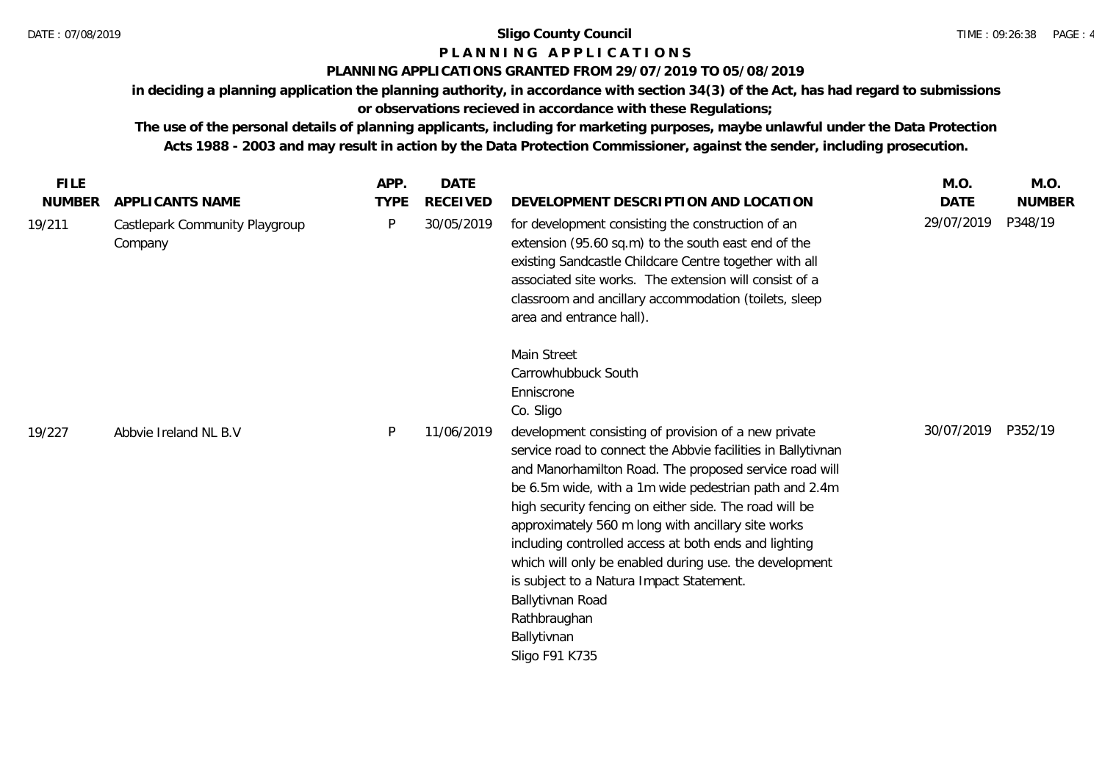# **P L A N N I N G A P P L I C A T I O N S**

### **PLANNING APPLICATIONS GRANTED FROM 29/07/2019 TO 05/08/2019**

**in deciding a planning application the planning authority, in accordance with section 34(3) of the Act, has had regard to submissions or observations recieved in accordance with these Regulations;**

| <b>FILE</b>             |                                                              | APP.             | <b>DATE</b>                   |                                                                                                                                                                                                                                                                                                                                                                                                                                                                                                                                                                                                                                                              | M.O.                      | M.O.                     |
|-------------------------|--------------------------------------------------------------|------------------|-------------------------------|--------------------------------------------------------------------------------------------------------------------------------------------------------------------------------------------------------------------------------------------------------------------------------------------------------------------------------------------------------------------------------------------------------------------------------------------------------------------------------------------------------------------------------------------------------------------------------------------------------------------------------------------------------------|---------------------------|--------------------------|
| <b>NUMBER</b><br>19/211 | APPLICANTS NAME<br>Castlepark Community Playgroup<br>Company | <b>TYPE</b><br>P | <b>RECEIVED</b><br>30/05/2019 | DEVELOPMENT DESCRIPTION AND LOCATION<br>for development consisting the construction of an<br>extension (95.60 sq.m) to the south east end of the<br>existing Sandcastle Childcare Centre together with all<br>associated site works. The extension will consist of a<br>classroom and ancillary accommodation (toilets, sleep<br>area and entrance hall).                                                                                                                                                                                                                                                                                                    | <b>DATE</b><br>29/07/2019 | <b>NUMBER</b><br>P348/19 |
| 19/227                  | Abbvie Ireland NL B.V                                        | P                | 11/06/2019                    | Main Street<br>Carrowhubbuck South<br>Enniscrone<br>Co. Sligo<br>development consisting of provision of a new private<br>service road to connect the Abbvie facilities in Ballytivnan<br>and Manorhamilton Road. The proposed service road will<br>be 6.5m wide, with a 1m wide pedestrian path and 2.4m<br>high security fencing on either side. The road will be<br>approximately 560 m long with ancillary site works<br>including controlled access at both ends and lighting<br>which will only be enabled during use. the development<br>is subject to a Natura Impact Statement.<br>Ballytivnan Road<br>Rathbraughan<br>Ballytivnan<br>Sligo F91 K735 | 30/07/2019                | P352/19                  |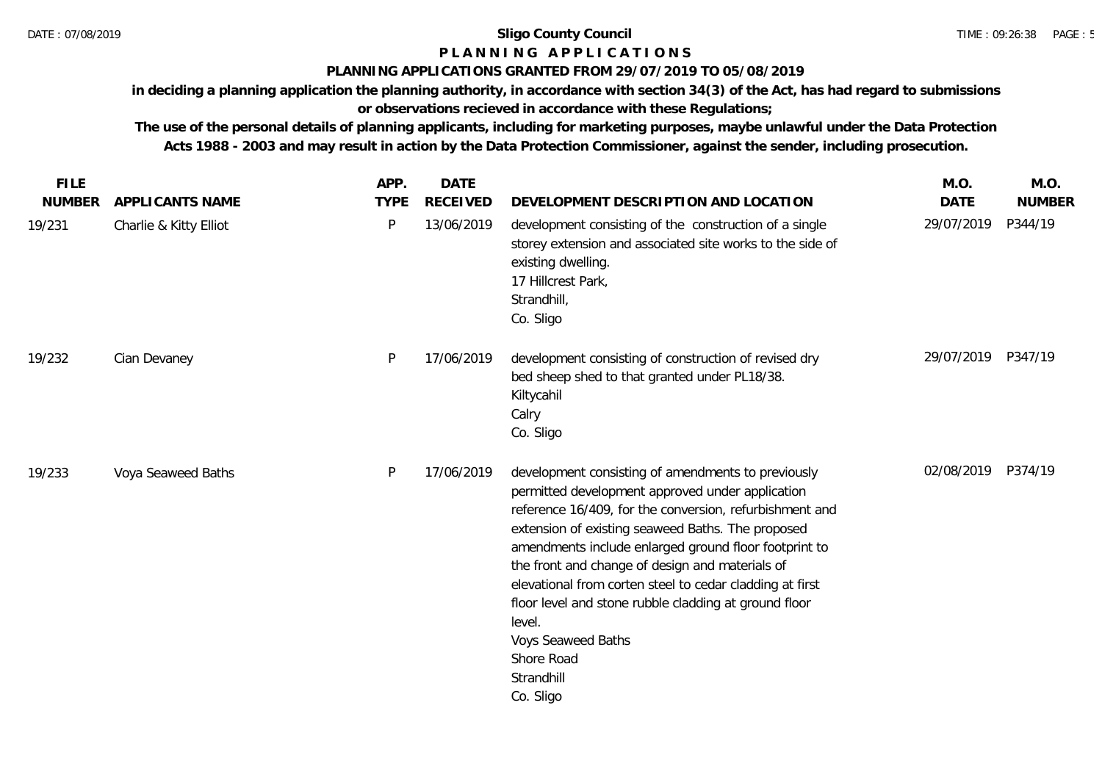# **P L A N N I N G A P P L I C A T I O N S**

### **PLANNING APPLICATIONS GRANTED FROM 29/07/2019 TO 05/08/2019**

**in deciding a planning application the planning authority, in accordance with section 34(3) of the Act, has had regard to submissions** 

# **or observations recieved in accordance with these Regulations;**

| <b>FILE</b>   |                        | APP.        | <b>DATE</b>     |                                                                                                                                                                                                                                                                                                                                                                                                                                                                                                                                  | M.O.        | M.O.          |
|---------------|------------------------|-------------|-----------------|----------------------------------------------------------------------------------------------------------------------------------------------------------------------------------------------------------------------------------------------------------------------------------------------------------------------------------------------------------------------------------------------------------------------------------------------------------------------------------------------------------------------------------|-------------|---------------|
| <b>NUMBER</b> | APPLICANTS NAME        | <b>TYPE</b> | <b>RECEIVED</b> | DEVELOPMENT DESCRIPTION AND LOCATION                                                                                                                                                                                                                                                                                                                                                                                                                                                                                             | <b>DATE</b> | <b>NUMBER</b> |
| 19/231        | Charlie & Kitty Elliot | P           | 13/06/2019      | development consisting of the construction of a single<br>storey extension and associated site works to the side of<br>existing dwelling.<br>17 Hillcrest Park,<br>Strandhill,<br>Co. Sligo                                                                                                                                                                                                                                                                                                                                      | 29/07/2019  | P344/19       |
| 19/232        | Cian Devaney           | P           | 17/06/2019      | development consisting of construction of revised dry<br>bed sheep shed to that granted under PL18/38.<br>Kiltycahil<br>Calry<br>Co. Sligo                                                                                                                                                                                                                                                                                                                                                                                       | 29/07/2019  | P347/19       |
| 19/233        | Voya Seaweed Baths     | P           | 17/06/2019      | development consisting of amendments to previously<br>permitted development approved under application<br>reference 16/409, for the conversion, refurbishment and<br>extension of existing seaweed Baths. The proposed<br>amendments include enlarged ground floor footprint to<br>the front and change of design and materials of<br>elevational from corten steel to cedar cladding at first<br>floor level and stone rubble cladding at ground floor<br>level.<br>Voys Seaweed Baths<br>Shore Road<br>Strandhill<br>Co. Sligo | 02/08/2019  | P374/19       |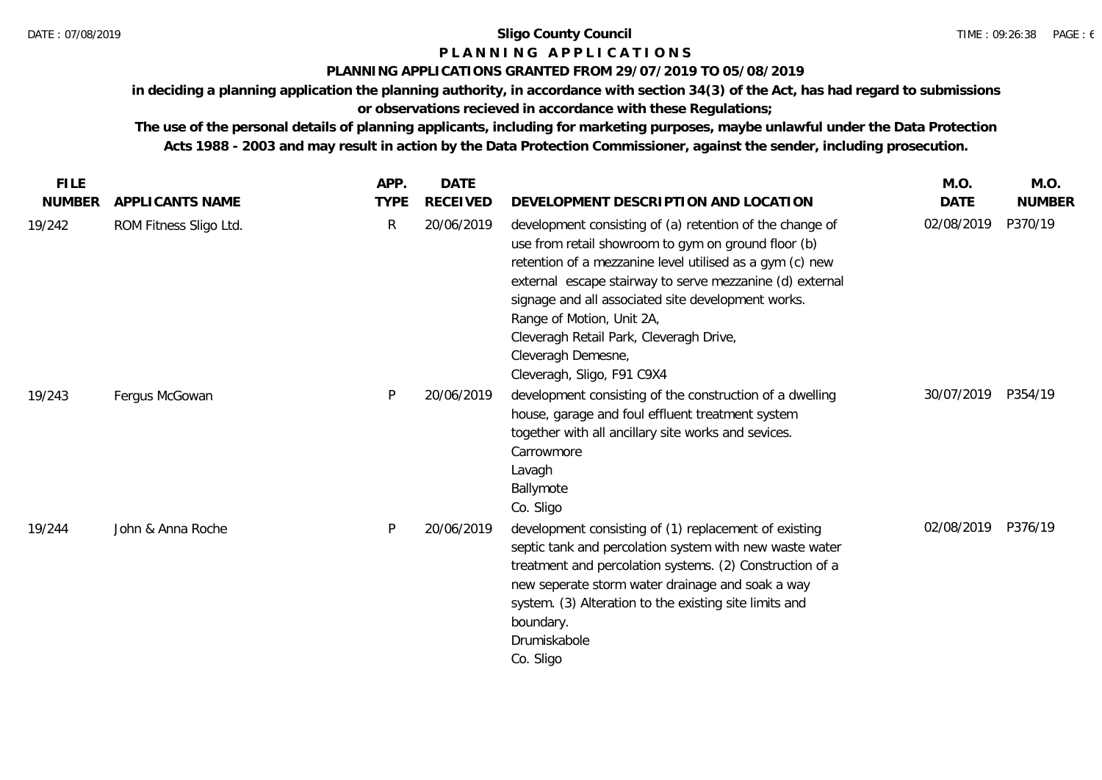### **P L A N N I N G A P P L I C A T I O N S**

### **PLANNING APPLICATIONS GRANTED FROM 29/07/2019 TO 05/08/2019**

**in deciding a planning application the planning authority, in accordance with section 34(3) of the Act, has had regard to submissions** 

# **or observations recieved in accordance with these Regulations;**

| <b>FILE</b>   |                        | APP.         | <b>DATE</b>     |                                                                                                                                                                                                                                                                                                                                                                                                                           | M.O.        | M.O.          |
|---------------|------------------------|--------------|-----------------|---------------------------------------------------------------------------------------------------------------------------------------------------------------------------------------------------------------------------------------------------------------------------------------------------------------------------------------------------------------------------------------------------------------------------|-------------|---------------|
| <b>NUMBER</b> | APPLICANTS NAME        | <b>TYPE</b>  | <b>RECEIVED</b> | DEVELOPMENT DESCRIPTION AND LOCATION                                                                                                                                                                                                                                                                                                                                                                                      | <b>DATE</b> | <b>NUMBER</b> |
| 19/242        | ROM Fitness Sligo Ltd. | $\mathsf{R}$ | 20/06/2019      | development consisting of (a) retention of the change of<br>use from retail showroom to gym on ground floor (b)<br>retention of a mezzanine level utilised as a gym (c) new<br>external escape stairway to serve mezzanine (d) external<br>signage and all associated site development works.<br>Range of Motion, Unit 2A,<br>Cleveragh Retail Park, Cleveragh Drive,<br>Cleveragh Demesne,<br>Cleveragh, Sligo, F91 C9X4 | 02/08/2019  | P370/19       |
| 19/243        | Fergus McGowan         | P            | 20/06/2019      | development consisting of the construction of a dwelling<br>house, garage and foul effluent treatment system<br>together with all ancillary site works and sevices.<br>Carrowmore<br>Lavagh<br>Ballymote<br>Co. Sligo                                                                                                                                                                                                     | 30/07/2019  | P354/19       |
| 19/244        | John & Anna Roche      | P            | 20/06/2019      | development consisting of (1) replacement of existing<br>septic tank and percolation system with new waste water<br>treatment and percolation systems. (2) Construction of a<br>new seperate storm water drainage and soak a way<br>system. (3) Alteration to the existing site limits and<br>boundary.<br>Drumiskabole<br>Co. Sligo                                                                                      | 02/08/2019  | P376/19       |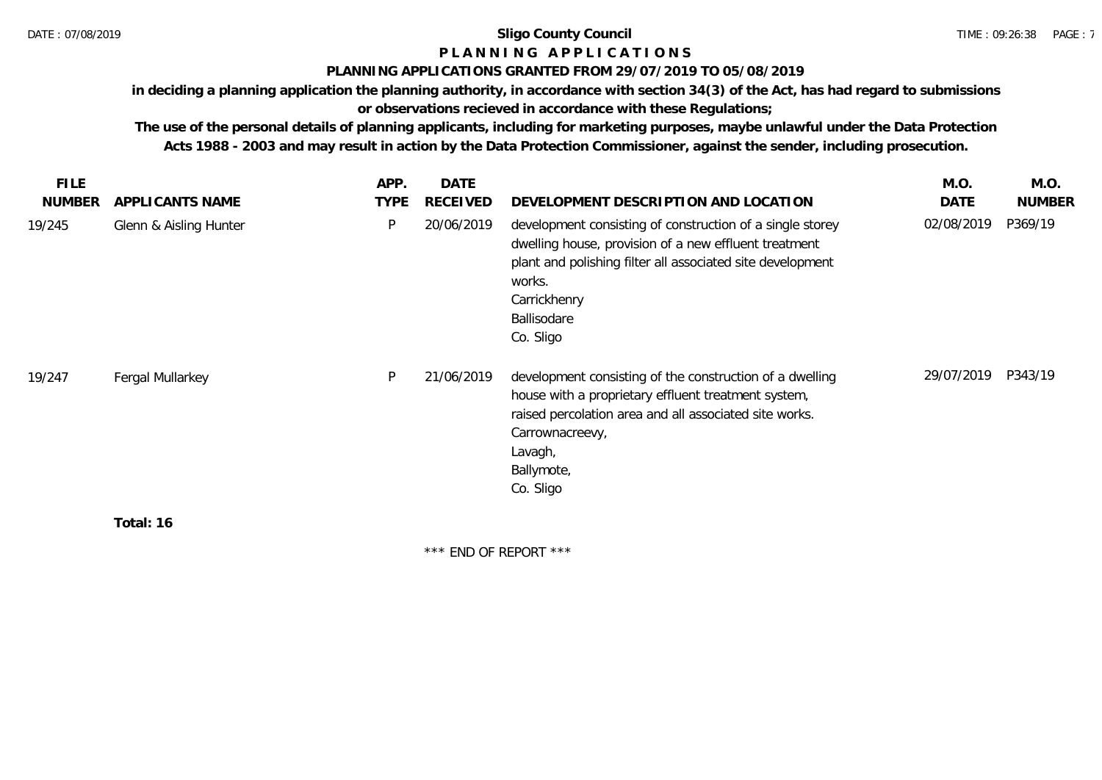# **P L A N N I N G A P P L I C A T I O N S**

### **PLANNING APPLICATIONS GRANTED FROM 29/07/2019 TO 05/08/2019**

**in deciding a planning application the planning authority, in accordance with section 34(3) of the Act, has had regard to submissions** 

# **or observations recieved in accordance with these Regulations;**

**The use of the personal details of planning applicants, including for marketing purposes, maybe unlawful under the Data Protection Acts 1988 - 2003 and may result in action by the Data Protection Commissioner, against the sender, including prosecution.**

| <b>FILE</b><br><b>NUMBER</b> | APPLICANTS NAME        | APP.<br><b>TYPE</b> | <b>DATE</b><br><b>RECEIVED</b> | DEVELOPMENT DESCRIPTION AND LOCATION                                                                                                                                                                                                   | M.O.<br>DATE | M.O.<br><b>NUMBER</b> |
|------------------------------|------------------------|---------------------|--------------------------------|----------------------------------------------------------------------------------------------------------------------------------------------------------------------------------------------------------------------------------------|--------------|-----------------------|
| 19/245                       | Glenn & Aisling Hunter | P                   | 20/06/2019                     | development consisting of construction of a single storey<br>dwelling house, provision of a new effluent treatment<br>plant and polishing filter all associated site development<br>works.<br>Carrickhenry<br>Ballisodare<br>Co. Sligo | 02/08/2019   | P369/19               |
| 19/247                       | Fergal Mullarkey       | P                   | 21/06/2019                     | development consisting of the construction of a dwelling<br>house with a proprietary effluent treatment system,<br>raised percolation area and all associated site works.<br>Carrownacreevy,<br>Lavagh,<br>Ballymote,<br>Co. Sligo     | 29/07/2019   | P343/19               |
|                              | Total: 16              |                     |                                |                                                                                                                                                                                                                                        |              |                       |

**Total: 16**

\*\*\* END OF REPORT \*\*\*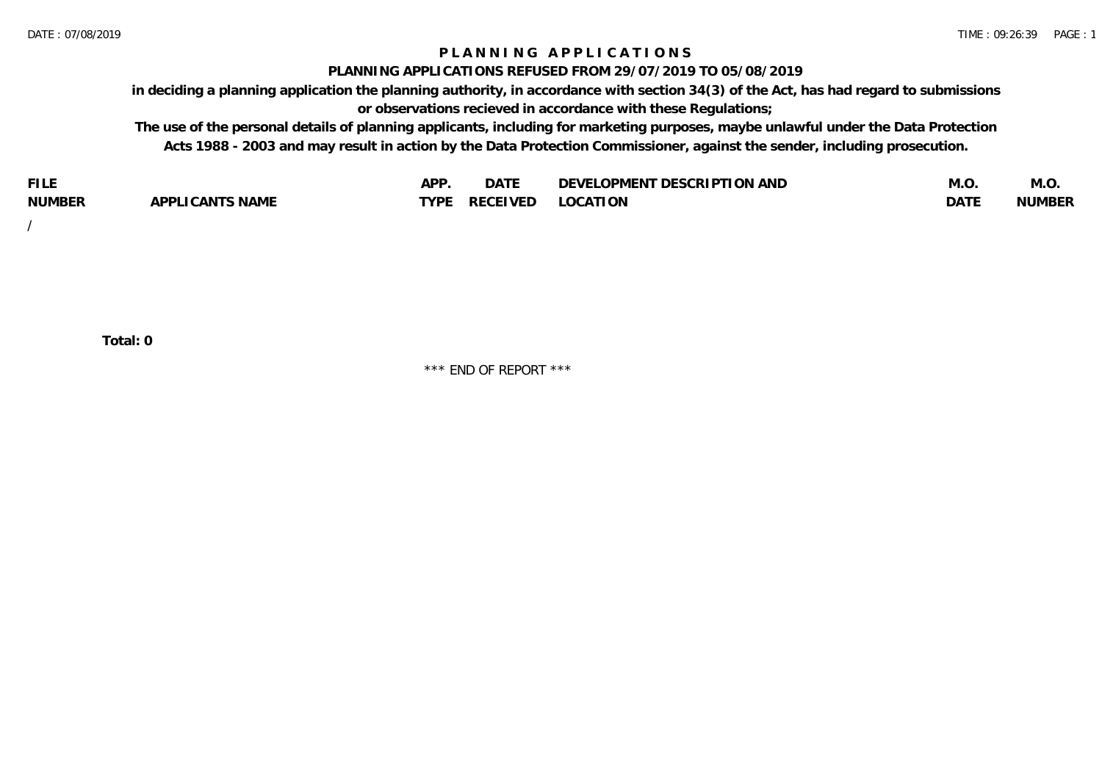### **P L A N N I N G A P P L I C A T I O N S**

### **PLANNING APPLICATIONS REFUSED FROM 29/07/2019 TO 05/08/2019**

**in deciding a planning application the planning authority, in accordance with section 34(3) of the Act, has had regard to submissions or observations recieved in accordance with these Regulations;**

**The use of the personal details of planning applicants, including for marketing purposes, maybe unlawful under the Data Protection Acts 1988 - 2003 and may result in action by the Data Protection Commissioner, against the sender, including prosecution.**

| <b>FILE</b>   |                                                     | A DE        | $\sim$ $\sim$ $\sim$<br>DA I | <b>ENT DESCRIPTION AND</b><br>$\cap$ nn.<br>)E\/F<br>. JIEN L<br>பட | IVI.U       | IVI.U         |
|---------------|-----------------------------------------------------|-------------|------------------------------|---------------------------------------------------------------------|-------------|---------------|
| <b>NUMBER</b> | <b>ANTS NAME</b><br>A DDI<br>$\sqrt{2}$<br>CAN<br>u | <b>TVDL</b> | ◡⊢                           | <b>OCATION</b>                                                      | <b>DATF</b> | <b>NUMBER</b> |

/

**Total: 0**

\*\*\* END OF REPORT \*\*\*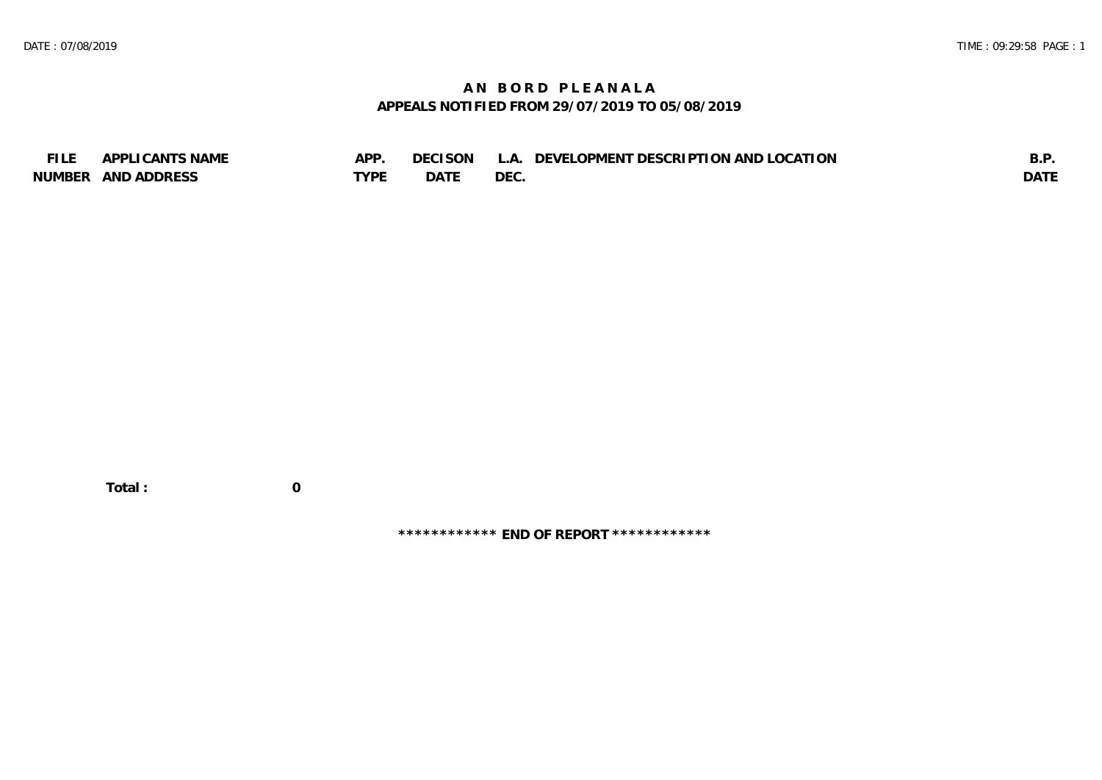## **A N B O R D P L E A N A L A APPEALS NOTIFIED FROM 29/07/2019 TO 05/08/2019**

| <b>FILE</b> | APPLICANTS NAME    | APP  | DECISON L   | L.A. DEVELOPMENT DESCRIPTION AND LOCATION | B.F         |
|-------------|--------------------|------|-------------|-------------------------------------------|-------------|
|             | NUMBER AND ADDRESS | TYPE | <b>DATE</b> | <b>DEC</b>                                | <b>DATE</b> |

 **Total : 0**

**\*\*\*\*\*\*\*\*\*\*\*\* END OF REPORT \*\*\*\*\*\*\*\*\*\*\*\***